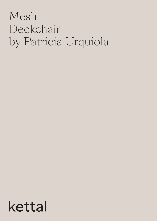## Mesh Deckchair by Patricia Urquiola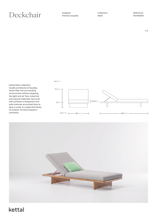Designer Patricia Urquiola Collection Mesh

 $1/3$ 

Kettal Mesh collection recalls architectural facades, which filter the surrounding environment without stopping the light and air flow. Industrial and natural materials, hard and soft surfaces, transparent and solid volumes are putted face to face in order to create this family of outdoor furniture based in contrasts.

cm/ inch



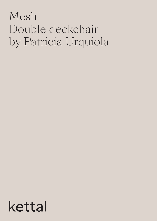## Mesh Double deckchair by Patricia Urquiola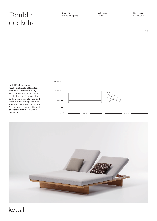### $\text{Designer}$ <br>  $\text{Rellection}$   $\text{Relection}$   $\text{Relection}$   $\text{Refference}$   $\text{Relaction}$   $\text{Refference}$   $\text{Refference}$   $\text{Refference}$   $\text{Refference}$   $\text{Refference}$   $\text{Refference}$   $\text{Refference}$   $\text{Refference}$   $\text{Refference}$   $\text{Refference}$   $\text{Refference}$   $\text{Refference}$   $\text{Refference}$   $\text{Refference}$   $\text{Refference}$   $\text{Refference}$   $\text{Refference$ deckchair

| Designer          |
|-------------------|
| Patricia Urquiola |

Collection Mesh

Kettal Mesh collection recalls architectural facades, which filter the surrounding environment without stopping the light and air flow. Industrial and natural materials, hard and soft surfaces, transparent and solid volumes are putted face to face in order to create this family of outdoor furniture based in contrasts.

cm/ inch





#### $1/3$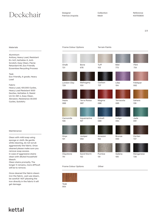## $\mathrm{Deckchar}$  Designer Collection Collection Reference Reference

Designer Patricia Urquiola Collection Mesh

2/3

#### Materials

#### Aluminium

Antioxy, Heavy Load, Resistant En-1421, Kettalize-It, Anti-Scratch, Easy Clean, Flame Retardant M1, Eco Friendly Ecoembes Recycling Process

#### Teak

Eco-friendly, A-grade, Heavy Load

#### Fabric

Heavy Load, 100.000 Cycles, Heavy Load Resistant 1000 Decitex, Kettalize-It, Resist U.V. En-581-4, Easy Clean, Abrasion, Resistance 30.000 Cycles, Quickdry

#### Maintenance

Clean with mild soap using sponge or cloth. Be gentle while cleaning, do not scrub aggressively the fabric. Once cleaned please make sure you remove soap excess. In case of aggressive stains clean with diluted household bleach.

Clean stains promptly. The longer it remains, more difficult will be to remove.

Once cleaned the fabric steam iron the fabric. Just use steam, be carefull NOT placeing the iron directly in the fabric it will get damage.

#### Frame Colour Options Terrain Paints

Chalk 721 Tuff 103 Flint 734 Onyx Camomile 106 Mahogany 100 Claystone Bone 678 Mist 773 London Clay 729 Juniper 092 Aquamarine 107 Carbon 737 Sand Storm 132 Sepia 088 Terra Rossa 087 Magma 086 Amazon 102 Cobalt 089 Pumice 131 Lilac 104 Feldspar 082 Terracota 085 Bronze 093 Sahara 139 Corten 727 Indigo 094 Galena 105 Jade 091 Manganese 726

Frame Colour Options **Colour Colour** 



101

741